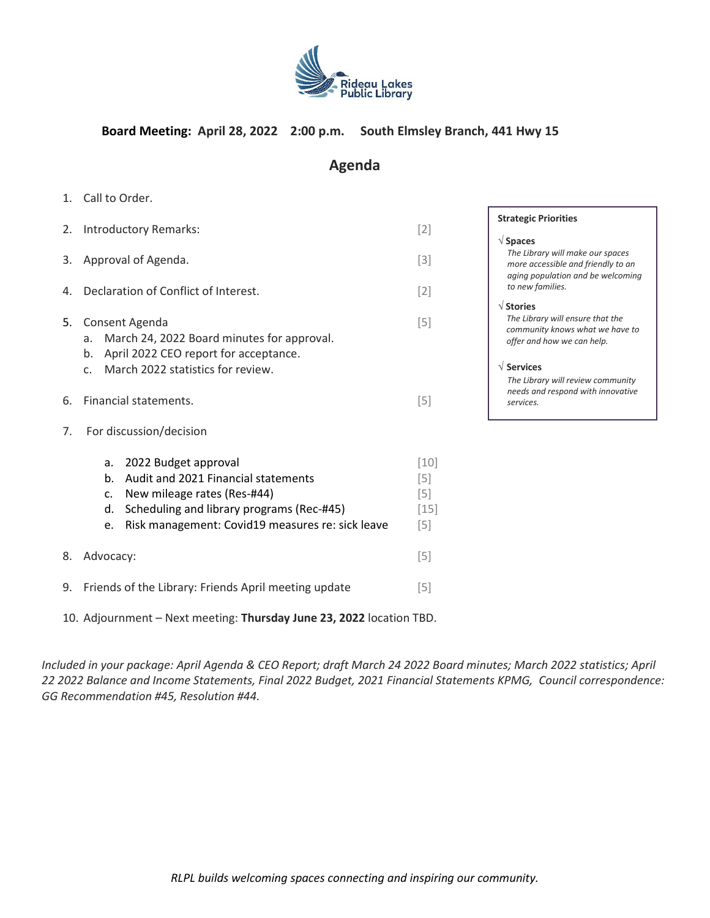

# **Board Meeting: April 28, 2022 2:00 p.m. South Elmsley Branch, 441 Hwy 15**

# **Agenda**

- 1. Call to Order.
- 2. Introductory Remarks: [2] 3. Approval of Agenda. [3] 4. Declaration of Conflict of Interest. [2] 5. Consent Agenda [5] a. March 24, 2022 Board minutes for approval. b. April 2022 CEO report for acceptance. c. March 2022 statistics for review. 6. Financial statements. [5] 7. For discussion/decision a. 2022 Budget approval [10] b. Audit and 2021 Financial statements [5] c. New mileage rates (Res-#44) [5]
- d. Scheduling and library programs (Rec-#45) [15] e. Risk management: Covid19 measures re: sick leave [5] 8. Advocacy: [5] 9. Friends of the Library: Friends April meeting update [5]
- 10. Adjournment Next meeting: **Thursday June 23, 2022** location TBD.

*Included in your package: April Agenda & CEO Report; draft March 24 2022 Board minutes; March 2022 statistics; April 22 2022 Balance and Income Statements, Final 2022 Budget, 2021 Financial Statements KPMG, Council correspondence: GG Recommendation #45, Resolution #44.*

*RLPL builds welcoming spaces connecting and inspiring our community.*

### **Strategic Priorities**

### **Spaces**

*The Library will make our spaces more accessible and friendly to an aging population and be welcoming to new families.*

### **Stories**

*The Library will ensure that the community knows what we have to offer and how we can help.*

### **Services**

*The Library will review community needs and respond with innovative services.*